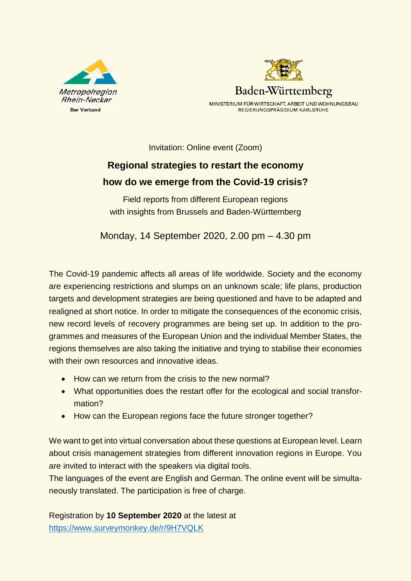



Invitation: Online event (Zoom)

# **Regional strategies to restart the economy how do we emerge from the Covid-19 crisis?**

Field reports from different European regions with insights from Brussels and Baden-Württemberg

Monday, 14 September 2020, 2.00 pm – 4.30 pm

The Covid-19 pandemic affects all areas of life worldwide. Society and the economy are experiencing restrictions and slumps on an unknown scale; life plans, production targets and development strategies are being questioned and have to be adapted and realigned at short notice. In order to mitigate the consequences of the economic crisis, new record levels of recovery programmes are being set up. In addition to the programmes and measures of the European Union and the individual Member States, the regions themselves are also taking the initiative and trying to stabilise their economies with their own resources and innovative ideas.

- How can we return from the crisis to the new normal?
- What opportunities does the restart offer for the ecological and social transformation?
- How can the European regions face the future stronger together?

We want to get into virtual conversation about these questions at European level. Learn about crisis management strategies from different innovation regions in Europe. You are invited to interact with the speakers via digital tools.

The languages of the event are English and German. The online event will be simultaneously translated. The participation is free of charge.

Registration by **10 September 2020** at the latest at <https://www.surveymonkey.de/r/9H7VQLK>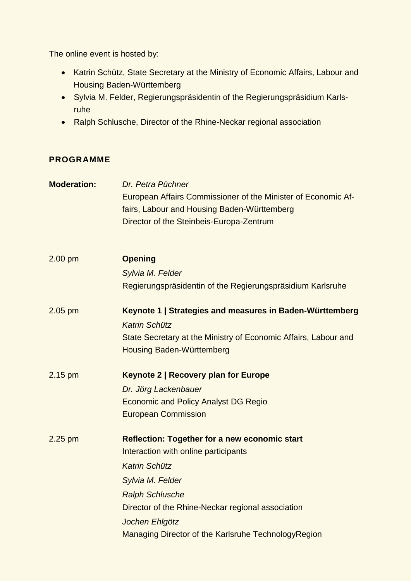The online event is hosted by:

- Katrin Schütz, State Secretary at the Ministry of Economic Affairs, Labour and Housing Baden-Württemberg
- Sylvia M. Felder, Regierungspräsidentin of the Regierungspräsidium Karlsruhe
- Ralph Schlusche, Director of the Rhine-Neckar regional association

# **PROGRAMME**

| <b>Moderation:</b> | Dr. Petra Püchner<br>European Affairs Commissioner of the Minister of Economic Af-<br>fairs, Labour and Housing Baden-Württemberg<br>Director of the Steinbeis-Europa-Zentrum                                                                                                                    |
|--------------------|--------------------------------------------------------------------------------------------------------------------------------------------------------------------------------------------------------------------------------------------------------------------------------------------------|
| $2.00$ pm          | <b>Opening</b>                                                                                                                                                                                                                                                                                   |
|                    | Sylvia M. Felder<br>Regierungspräsidentin of the Regierungspräsidium Karlsruhe                                                                                                                                                                                                                   |
| $2.05$ pm          | Keynote 1   Strategies and measures in Baden-Württemberg<br><b>Katrin Schütz</b><br>State Secretary at the Ministry of Economic Affairs, Labour and<br><b>Housing Baden-Württemberg</b>                                                                                                          |
| $2.15$ pm          | <b>Keynote 2   Recovery plan for Europe</b><br>Dr. Jörg Lackenbauer<br><b>Economic and Policy Analyst DG Regio</b><br><b>European Commission</b>                                                                                                                                                 |
| 2.25 pm            | <b>Reflection: Together for a new economic start</b><br>Interaction with online participants<br><b>Katrin Schütz</b><br>Sylvia M. Felder<br><b>Ralph Schlusche</b><br>Director of the Rhine-Neckar regional association<br>Jochen Ehlgötz<br>Managing Director of the Karlsruhe TechnologyRegion |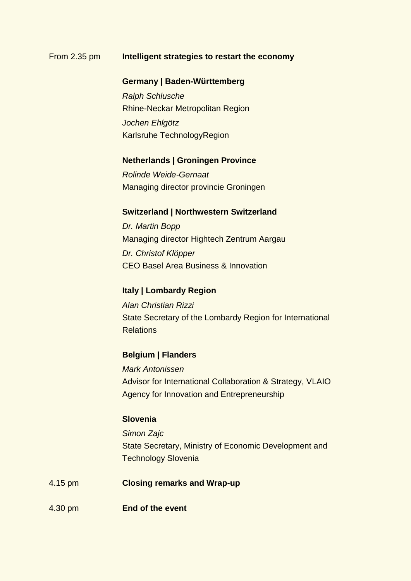## From 2.35 pm **Intelligent strategies to restart the economy**

### **Germany | Baden-Württemberg**

*Ralph Schlusche*  Rhine-Neckar Metropolitan Region *Jochen Ehlgötz*  Karlsruhe TechnologyRegion

#### **Netherlands | Groningen Province**

*Rolinde Weide-Gernaat* Managing director provincie Groningen

# **Switzerland | Northwestern Switzerland**

*Dr. Martin Bopp* Managing director Hightech Zentrum Aargau *Dr. Christof Klöpper* CEO Basel Area Business & Innovation

# **Italy | Lombardy Region**

*Alan Christian Rizzi* State Secretary of the Lombardy Region for International Relations

## **Belgium | Flanders**

*Mark Antonissen* Advisor for International Collaboration & Strategy, VLAIO Agency for Innovation and Entrepreneurship

# **Slovenia**

*Simon Zajc* State Secretary, Ministry of Economic Development and Technology Slovenia

- 4.15 pm **Closing remarks and Wrap-up**
- 4.30 pm **End of the event**